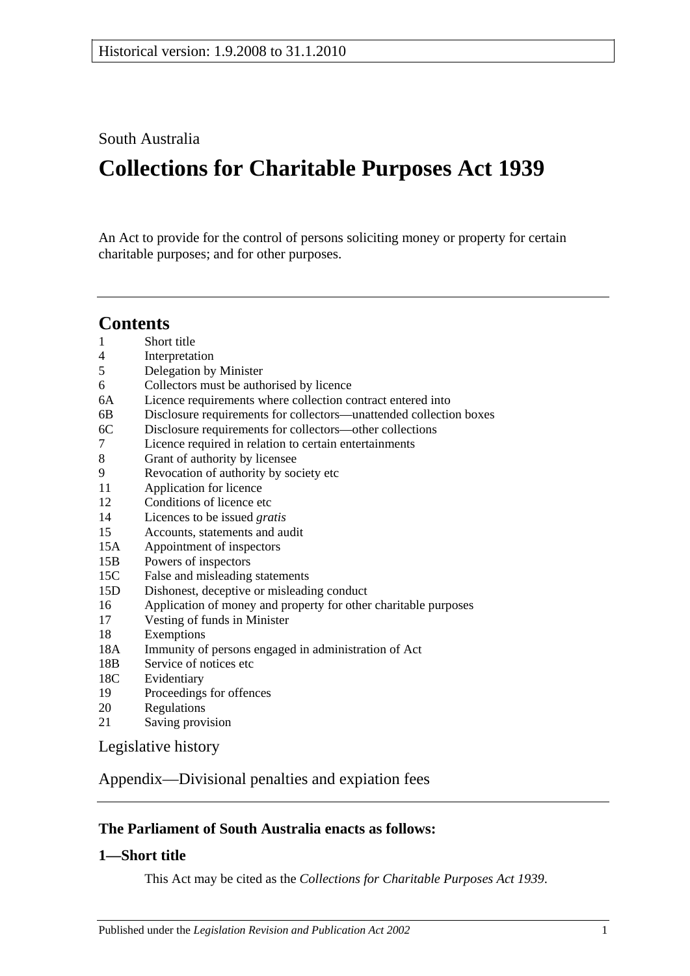South Australia

# **Collections for Charitable Purposes Act 1939**

An Act to provide for the control of persons soliciting money or property for certain charitable purposes; and for other purposes.

# **Contents**

- 1 [Short title](#page-0-0)
- 4 [Interpretation](#page-1-0)
- 5 [Delegation by Minister](#page-1-1)
- 6 [Collectors must be authorised by licence](#page-2-0)
- 6A [Licence requirements where collection contract entered into](#page-2-1)
- 6B [Disclosure requirements for collectors—unattended collection boxes](#page-3-0)
- 6C [Disclosure requirements for collectors—other collections](#page-3-1)
- 7 [Licence required in relation to certain entertainments](#page-4-0)
- 8 [Grant of authority by licensee](#page-5-0)
- 9 [Revocation of authority by society etc](#page-6-0)
- 11 [Application for licence](#page-6-1)
- 12 [Conditions of licence etc](#page-6-2)
- 14 [Licences to be issued](#page-7-0) *gratis*
- 15 [Accounts, statements and audit](#page-7-1)
- 15A [Appointment of inspectors](#page-8-0)
- 15B [Powers of inspectors](#page-8-1)
- 15C [False and misleading statements](#page-9-0)
- 15D [Dishonest, deceptive or misleading conduct](#page-9-1)
- 16 [Application of money and property for other charitable purposes](#page-10-0)
- 17 [Vesting of funds in Minister](#page-10-1)
- 18 [Exemptions](#page-10-2)
- 18A [Immunity of persons engaged in administration of Act](#page-10-3)
- 18B [Service of notices etc](#page-11-0)<br>18C Evidentiary
- [Evidentiary](#page-11-1)
- 19 [Proceedings for offences](#page-11-2)
- 20 [Regulations](#page-11-3)
- 21 [Saving provision](#page-12-0)

[Legislative history](#page-13-0)

[Appendix—Divisional penalties and expiation fees](#page-16-0)

## **The Parliament of South Australia enacts as follows:**

## <span id="page-0-0"></span>**1—Short title**

This Act may be cited as the *Collections for Charitable Purposes Act 1939*.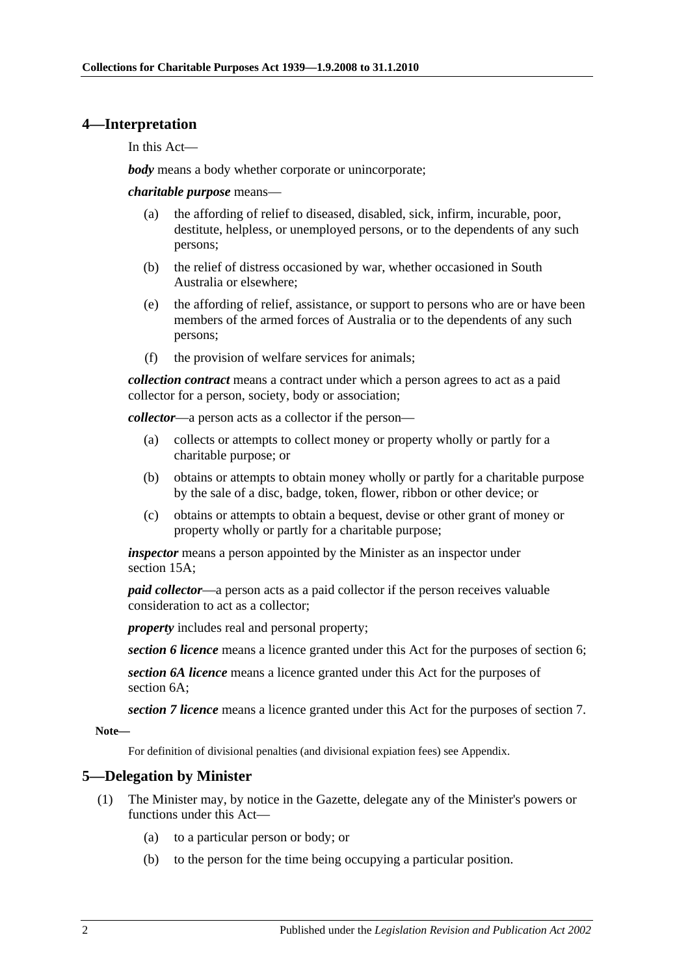#### <span id="page-1-0"></span>**4—Interpretation**

In this Act—

*body* means a body whether corporate or unincorporate;

*charitable purpose* means—

- (a) the affording of relief to diseased, disabled, sick, infirm, incurable, poor, destitute, helpless, or unemployed persons, or to the dependents of any such persons;
- (b) the relief of distress occasioned by war, whether occasioned in South Australia or elsewhere;
- (e) the affording of relief, assistance, or support to persons who are or have been members of the armed forces of Australia or to the dependents of any such persons;
- (f) the provision of welfare services for animals;

*collection contract* means a contract under which a person agrees to act as a paid collector for a person, society, body or association;

*collector*—a person acts as a collector if the person—

- (a) collects or attempts to collect money or property wholly or partly for a charitable purpose; or
- (b) obtains or attempts to obtain money wholly or partly for a charitable purpose by the sale of a disc, badge, token, flower, ribbon or other device; or
- (c) obtains or attempts to obtain a bequest, devise or other grant of money or property wholly or partly for a charitable purpose;

*inspector* means a person appointed by the Minister as an inspector under [section](#page-8-0) 15A;

*paid collector*—a person acts as a paid collector if the person receives valuable consideration to act as a collector;

*property* includes real and personal property;

*section 6 licence* means a licence granted under this Act for the purposes of section 6;

*section 6A licence* means a licence granted under this Act for the purposes of section 6A;

*section 7 licence* means a licence granted under this Act for the purposes of section 7.

**Note—**

For definition of divisional penalties (and divisional expiation fees) see Appendix.

#### <span id="page-1-1"></span>**5—Delegation by Minister**

- (1) The Minister may, by notice in the Gazette, delegate any of the Minister's powers or functions under this Act—
	- (a) to a particular person or body; or
	- (b) to the person for the time being occupying a particular position.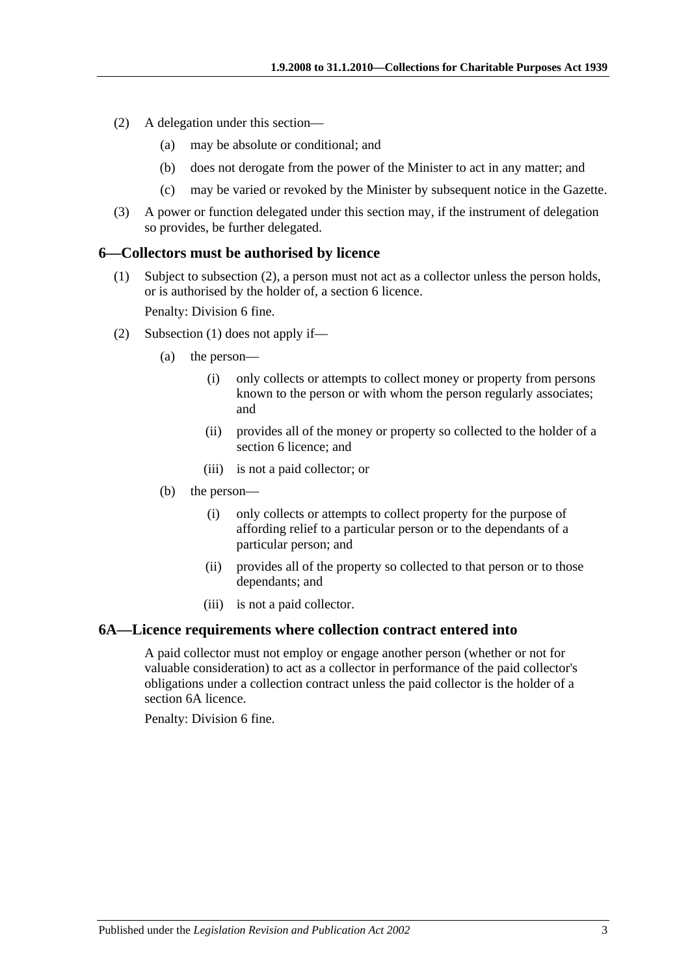- (2) A delegation under this section—
	- (a) may be absolute or conditional; and
	- (b) does not derogate from the power of the Minister to act in any matter; and
	- (c) may be varied or revoked by the Minister by subsequent notice in the Gazette.
- (3) A power or function delegated under this section may, if the instrument of delegation so provides, be further delegated.

#### <span id="page-2-3"></span><span id="page-2-0"></span>**6—Collectors must be authorised by licence**

(1) Subject to [subsection](#page-2-2) (2), a person must not act as a collector unless the person holds, or is authorised by the holder of, a [section](#page-2-0) 6 licence.

Penalty: Division 6 fine.

- <span id="page-2-2"></span>(2) [Subsection](#page-2-3) (1) does not apply if—
	- (a) the person—
		- (i) only collects or attempts to collect money or property from persons known to the person or with whom the person regularly associates; and
		- (ii) provides all of the money or property so collected to the holder of a [section](#page-2-0) 6 licence; and
		- (iii) is not a paid collector; or
	- (b) the person—
		- (i) only collects or attempts to collect property for the purpose of affording relief to a particular person or to the dependants of a particular person; and
		- (ii) provides all of the property so collected to that person or to those dependants; and
		- (iii) is not a paid collector.

#### <span id="page-2-1"></span>**6A—Licence requirements where collection contract entered into**

A paid collector must not employ or engage another person (whether or not for valuable consideration) to act as a collector in performance of the paid collector's obligations under a collection contract unless the paid collector is the holder of a [section](#page-2-1) 6A licence.

Penalty: Division 6 fine.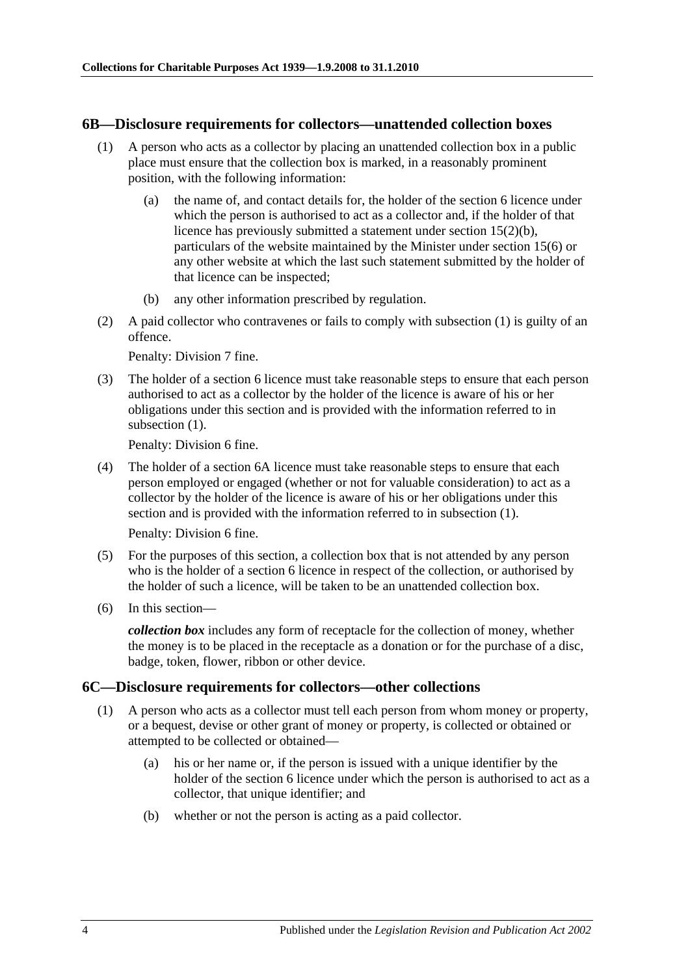#### <span id="page-3-2"></span><span id="page-3-0"></span>**6B—Disclosure requirements for collectors—unattended collection boxes**

- (1) A person who acts as a collector by placing an unattended collection box in a public place must ensure that the collection box is marked, in a reasonably prominent position, with the following information:
	- (a) the name of, and contact details for, the holder of the [section](#page-2-0) 6 licence under which the person is authorised to act as a collector and, if the holder of that licence has previously submitted a statement under section [15\(2\)\(b\),](#page-7-2) particulars of the website maintained by the Minister under [section](#page-8-2) 15(6) or any other website at which the last such statement submitted by the holder of that licence can be inspected;
	- (b) any other information prescribed by regulation.
- (2) A paid collector who contravenes or fails to comply with [subsection](#page-3-2) (1) is guilty of an offence.

Penalty: Division 7 fine.

(3) The holder of a [section](#page-2-0) 6 licence must take reasonable steps to ensure that each person authorised to act as a collector by the holder of the licence is aware of his or her obligations under this section and is provided with the information referred to in [subsection](#page-3-2) (1).

Penalty: Division 6 fine.

(4) The holder of a [section](#page-2-1) 6A licence must take reasonable steps to ensure that each person employed or engaged (whether or not for valuable consideration) to act as a collector by the holder of the licence is aware of his or her obligations under this section and is provided with the information referred to in [subsection](#page-3-2) (1).

Penalty: Division 6 fine.

- (5) For the purposes of this section, a collection box that is not attended by any person who is the holder of a [section](#page-2-0) 6 licence in respect of the collection, or authorised by the holder of such a licence, will be taken to be an unattended collection box.
- (6) In this section—

*collection box* includes any form of receptacle for the collection of money, whether the money is to be placed in the receptacle as a donation or for the purchase of a disc, badge, token, flower, ribbon or other device.

#### <span id="page-3-3"></span><span id="page-3-1"></span>**6C—Disclosure requirements for collectors—other collections**

- (1) A person who acts as a collector must tell each person from whom money or property, or a bequest, devise or other grant of money or property, is collected or obtained or attempted to be collected or obtained—
	- (a) his or her name or, if the person is issued with a unique identifier by the holder of the [section](#page-2-0) 6 licence under which the person is authorised to act as a collector, that unique identifier; and
	- (b) whether or not the person is acting as a paid collector.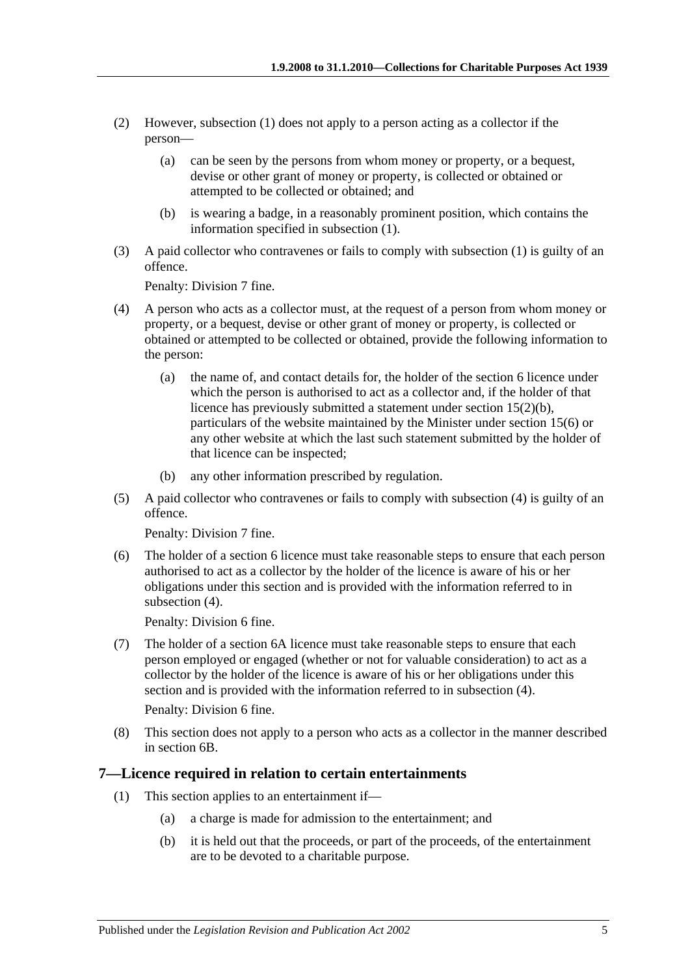- (2) However, [subsection](#page-3-3) (1) does not apply to a person acting as a collector if the person—
	- (a) can be seen by the persons from whom money or property, or a bequest, devise or other grant of money or property, is collected or obtained or attempted to be collected or obtained; and
	- (b) is wearing a badge, in a reasonably prominent position, which contains the information specified in [subsection](#page-3-3) (1).
- (3) A paid collector who contravenes or fails to comply with [subsection](#page-3-3) (1) is guilty of an offence.

Penalty: Division 7 fine.

- <span id="page-4-1"></span>(4) A person who acts as a collector must, at the request of a person from whom money or property, or a bequest, devise or other grant of money or property, is collected or obtained or attempted to be collected or obtained, provide the following information to the person:
	- (a) the name of, and contact details for, the holder of the [section](#page-2-0) 6 licence under which the person is authorised to act as a collector and, if the holder of that licence has previously submitted a statement under section [15\(2\)\(b\),](#page-7-2) particulars of the website maintained by the Minister under [section](#page-8-2) 15(6) or any other website at which the last such statement submitted by the holder of that licence can be inspected;
	- (b) any other information prescribed by regulation.
- (5) A paid collector who contravenes or fails to comply with [subsection](#page-4-1) (4) is guilty of an offence.

Penalty: Division 7 fine.

(6) The holder of a [section](#page-2-0) 6 licence must take reasonable steps to ensure that each person authorised to act as a collector by the holder of the licence is aware of his or her obligations under this section and is provided with the information referred to in [subsection](#page-4-1)  $(4)$ .

Penalty: Division 6 fine.

(7) The holder of a [section](#page-2-1) 6A licence must take reasonable steps to ensure that each person employed or engaged (whether or not for valuable consideration) to act as a collector by the holder of the licence is aware of his or her obligations under this section and is provided with the information referred to in [subsection](#page-4-1) (4).

Penalty: Division 6 fine.

(8) This section does not apply to a person who acts as a collector in the manner described in [section](#page-3-0) 6B.

#### <span id="page-4-0"></span>**7—Licence required in relation to certain entertainments**

- (1) This section applies to an entertainment if—
	- (a) a charge is made for admission to the entertainment; and
	- (b) it is held out that the proceeds, or part of the proceeds, of the entertainment are to be devoted to a charitable purpose.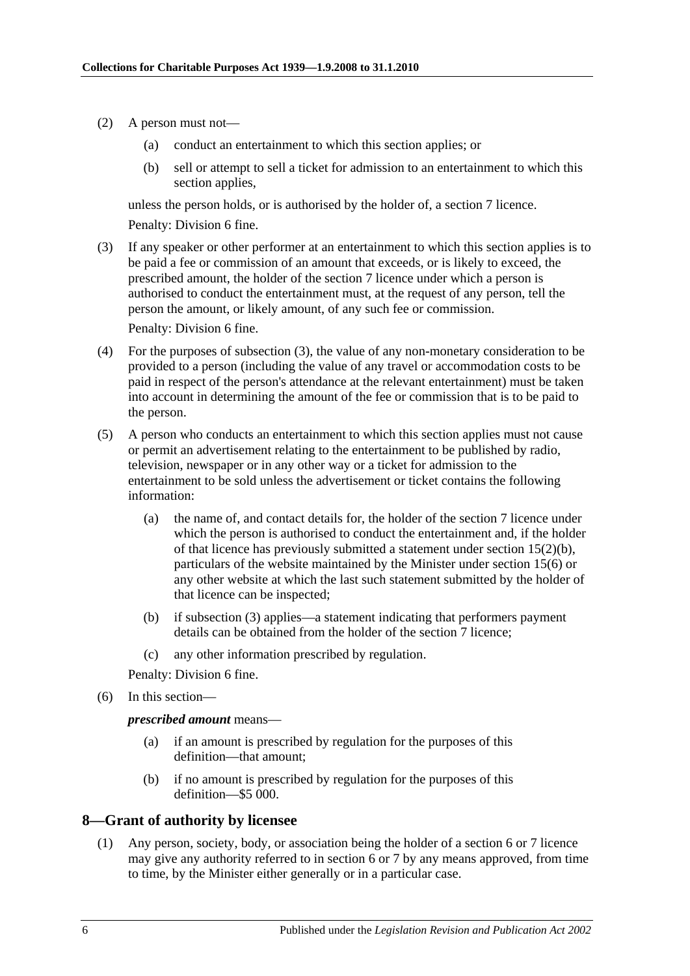- (2) A person must not—
	- (a) conduct an entertainment to which this section applies; or
	- (b) sell or attempt to sell a ticket for admission to an entertainment to which this section applies,

unless the person holds, or is authorised by the holder of, a [section](#page-4-0) 7 licence. Penalty: Division 6 fine.

<span id="page-5-1"></span>(3) If any speaker or other performer at an entertainment to which this section applies is to be paid a fee or commission of an amount that exceeds, or is likely to exceed, the prescribed amount, the holder of the [section](#page-4-0) 7 licence under which a person is authorised to conduct the entertainment must, at the request of any person, tell the person the amount, or likely amount, of any such fee or commission.

Penalty: Division 6 fine.

- (4) For the purposes of [subsection](#page-5-1) (3), the value of any non-monetary consideration to be provided to a person (including the value of any travel or accommodation costs to be paid in respect of the person's attendance at the relevant entertainment) must be taken into account in determining the amount of the fee or commission that is to be paid to the person.
- (5) A person who conducts an entertainment to which this section applies must not cause or permit an advertisement relating to the entertainment to be published by radio, television, newspaper or in any other way or a ticket for admission to the entertainment to be sold unless the advertisement or ticket contains the following information:
	- (a) the name of, and contact details for, the holder of the [section](#page-4-0) 7 licence under which the person is authorised to conduct the entertainment and, if the holder of that licence has previously submitted a statement under section [15\(2\)\(b\),](#page-7-2) particulars of the website maintained by the Minister under [section](#page-8-2) 15(6) or any other website at which the last such statement submitted by the holder of that licence can be inspected;
	- (b) if [subsection](#page-5-1) (3) applies—a statement indicating that performers payment details can be obtained from the holder of the [section](#page-4-0) 7 licence;
	- (c) any other information prescribed by regulation.

Penalty: Division 6 fine.

(6) In this section—

*prescribed amount* means—

- (a) if an amount is prescribed by regulation for the purposes of this definition—that amount;
- (b) if no amount is prescribed by regulation for the purposes of this definition—\$5 000.

#### <span id="page-5-0"></span>**8—Grant of authority by licensee**

(1) Any person, society, body, or association being the holder of a [section](#page-2-0) 6 or [7](#page-4-0) licence may give any authority referred to in section 6 or 7 by any means approved, from time to time, by the Minister either generally or in a particular case.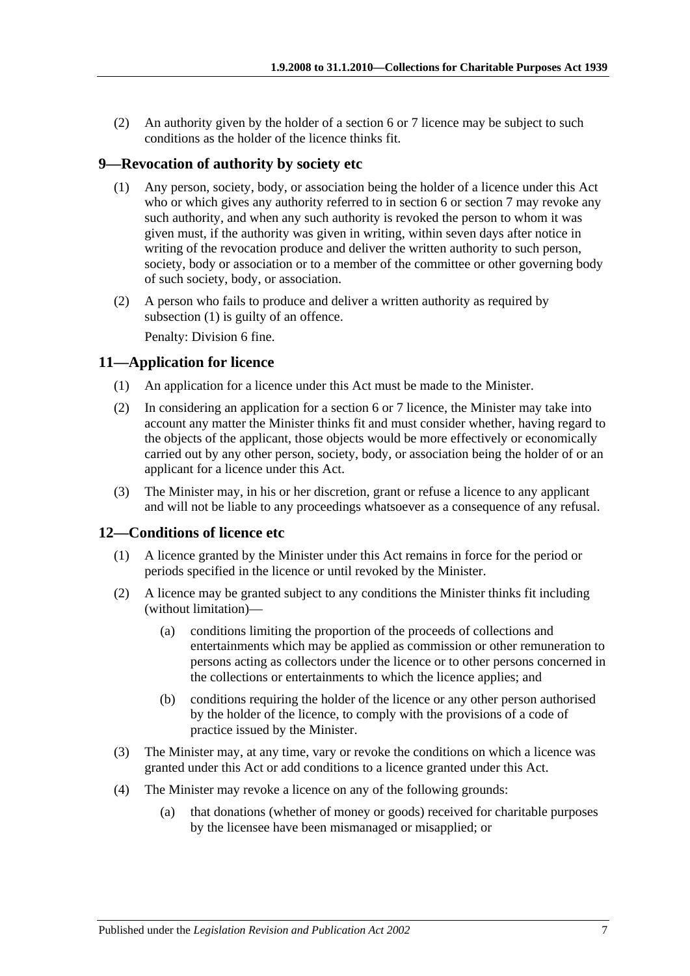(2) An authority given by the holder of a [section](#page-2-0) 6 or [7](#page-4-0) licence may be subject to such conditions as the holder of the licence thinks fit.

### <span id="page-6-3"></span><span id="page-6-0"></span>**9—Revocation of authority by society etc**

- (1) Any person, society, body, or association being the holder of a licence under this Act who or which gives any authority referred to in section 6 or section 7 may revoke any such authority, and when any such authority is revoked the person to whom it was given must, if the authority was given in writing, within seven days after notice in writing of the revocation produce and deliver the written authority to such person, society, body or association or to a member of the committee or other governing body of such society, body, or association.
- (2) A person who fails to produce and deliver a written authority as required by [subsection](#page-6-3) (1) is guilty of an offence. Penalty: Division 6 fine.

### <span id="page-6-1"></span>**11—Application for licence**

- (1) An application for a licence under this Act must be made to the Minister.
- (2) In considering an application for a [section](#page-2-0) 6 or [7](#page-4-0) licence, the Minister may take into account any matter the Minister thinks fit and must consider whether, having regard to the objects of the applicant, those objects would be more effectively or economically carried out by any other person, society, body, or association being the holder of or an applicant for a licence under this Act.
- (3) The Minister may, in his or her discretion, grant or refuse a licence to any applicant and will not be liable to any proceedings whatsoever as a consequence of any refusal.

#### <span id="page-6-2"></span>**12—Conditions of licence etc**

- (1) A licence granted by the Minister under this Act remains in force for the period or periods specified in the licence or until revoked by the Minister.
- (2) A licence may be granted subject to any conditions the Minister thinks fit including (without limitation)—
	- (a) conditions limiting the proportion of the proceeds of collections and entertainments which may be applied as commission or other remuneration to persons acting as collectors under the licence or to other persons concerned in the collections or entertainments to which the licence applies; and
	- (b) conditions requiring the holder of the licence or any other person authorised by the holder of the licence, to comply with the provisions of a code of practice issued by the Minister.
- (3) The Minister may, at any time, vary or revoke the conditions on which a licence was granted under this Act or add conditions to a licence granted under this Act.
- (4) The Minister may revoke a licence on any of the following grounds:
	- (a) that donations (whether of money or goods) received for charitable purposes by the licensee have been mismanaged or misapplied; or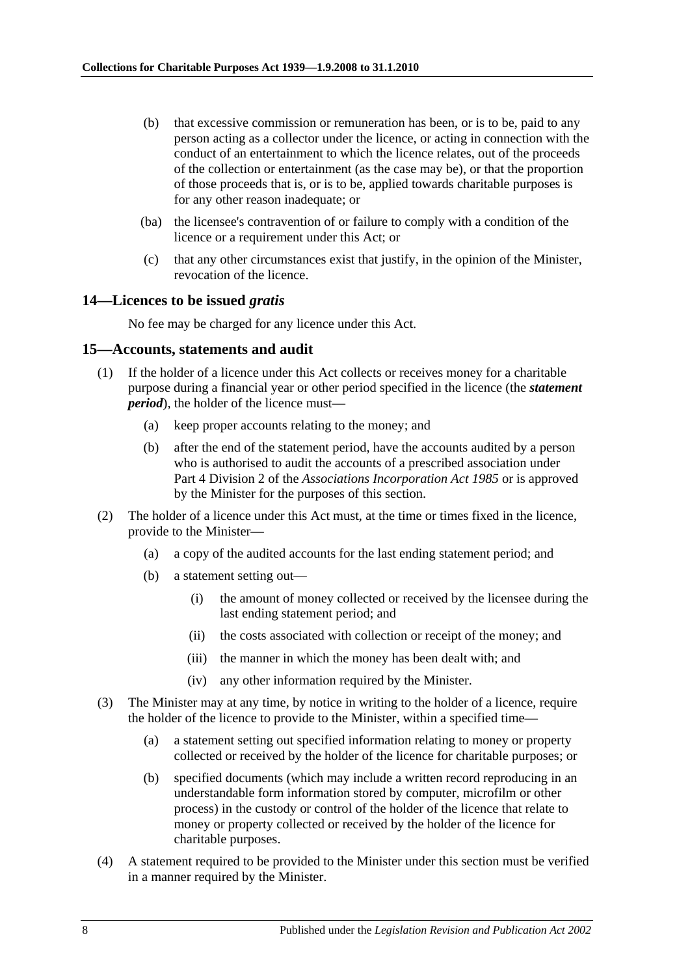- (b) that excessive commission or remuneration has been, or is to be, paid to any person acting as a collector under the licence, or acting in connection with the conduct of an entertainment to which the licence relates, out of the proceeds of the collection or entertainment (as the case may be), or that the proportion of those proceeds that is, or is to be, applied towards charitable purposes is for any other reason inadequate; or
- (ba) the licensee's contravention of or failure to comply with a condition of the licence or a requirement under this Act; or
- (c) that any other circumstances exist that justify, in the opinion of the Minister, revocation of the licence.

#### <span id="page-7-0"></span>**14—Licences to be issued** *gratis*

No fee may be charged for any licence under this Act.

#### <span id="page-7-1"></span>**15—Accounts, statements and audit**

- (1) If the holder of a licence under this Act collects or receives money for a charitable purpose during a financial year or other period specified in the licence (the *statement period*), the holder of the licence must—
	- (a) keep proper accounts relating to the money; and
	- (b) after the end of the statement period, have the accounts audited by a person who is authorised to audit the accounts of a prescribed association under Part 4 Division 2 of the *[Associations Incorporation Act](http://www.legislation.sa.gov.au/index.aspx?action=legref&type=act&legtitle=Associations%20Incorporation%20Act%201985) 1985* or is approved by the Minister for the purposes of this section.
- <span id="page-7-2"></span>(2) The holder of a licence under this Act must, at the time or times fixed in the licence, provide to the Minister—
	- (a) a copy of the audited accounts for the last ending statement period; and
	- (b) a statement setting out—
		- (i) the amount of money collected or received by the licensee during the last ending statement period; and
		- (ii) the costs associated with collection or receipt of the money; and
		- (iii) the manner in which the money has been dealt with; and
		- (iv) any other information required by the Minister.
- (3) The Minister may at any time, by notice in writing to the holder of a licence, require the holder of the licence to provide to the Minister, within a specified time—
	- (a) a statement setting out specified information relating to money or property collected or received by the holder of the licence for charitable purposes; or
	- (b) specified documents (which may include a written record reproducing in an understandable form information stored by computer, microfilm or other process) in the custody or control of the holder of the licence that relate to money or property collected or received by the holder of the licence for charitable purposes.
- (4) A statement required to be provided to the Minister under this section must be verified in a manner required by the Minister.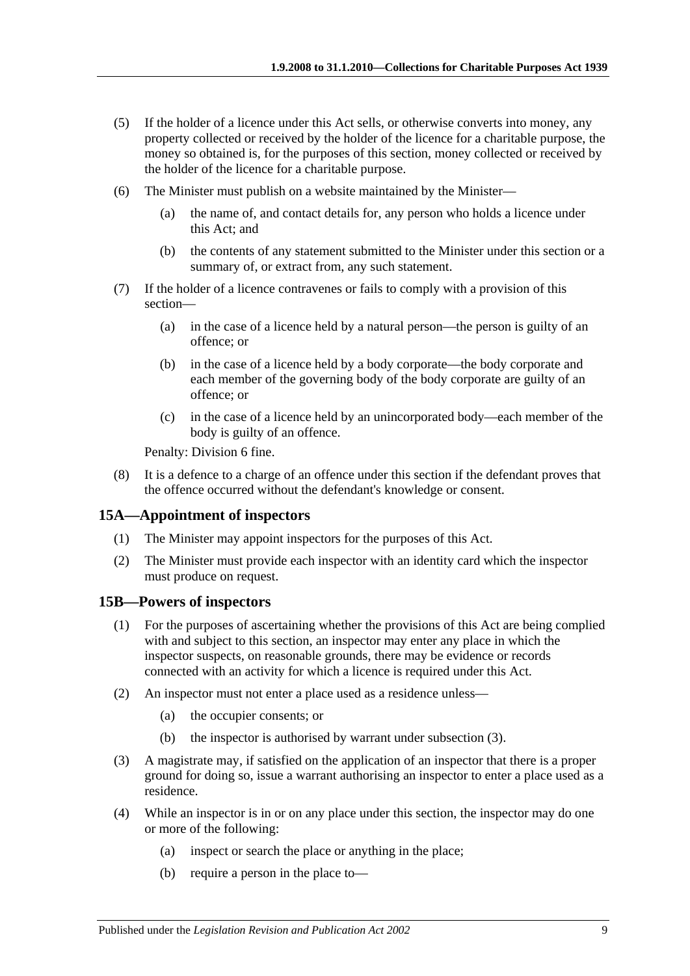- (5) If the holder of a licence under this Act sells, or otherwise converts into money, any property collected or received by the holder of the licence for a charitable purpose, the money so obtained is, for the purposes of this section, money collected or received by the holder of the licence for a charitable purpose.
- <span id="page-8-2"></span>(6) The Minister must publish on a website maintained by the Minister—
	- (a) the name of, and contact details for, any person who holds a licence under this Act; and
	- (b) the contents of any statement submitted to the Minister under this section or a summary of, or extract from, any such statement.
- (7) If the holder of a licence contravenes or fails to comply with a provision of this section—
	- (a) in the case of a licence held by a natural person—the person is guilty of an offence; or
	- (b) in the case of a licence held by a body corporate—the body corporate and each member of the governing body of the body corporate are guilty of an offence; or
	- (c) in the case of a licence held by an unincorporated body—each member of the body is guilty of an offence.

Penalty: Division 6 fine.

(8) It is a defence to a charge of an offence under this section if the defendant proves that the offence occurred without the defendant's knowledge or consent.

#### <span id="page-8-0"></span>**15A—Appointment of inspectors**

- (1) The Minister may appoint inspectors for the purposes of this Act.
- (2) The Minister must provide each inspector with an identity card which the inspector must produce on request.

#### <span id="page-8-1"></span>**15B—Powers of inspectors**

- (1) For the purposes of ascertaining whether the provisions of this Act are being complied with and subject to this section, an inspector may enter any place in which the inspector suspects, on reasonable grounds, there may be evidence or records connected with an activity for which a licence is required under this Act.
- (2) An inspector must not enter a place used as a residence unless—
	- (a) the occupier consents; or
	- (b) the inspector is authorised by warrant under [subsection](#page-8-3) (3).
- <span id="page-8-3"></span>(3) A magistrate may, if satisfied on the application of an inspector that there is a proper ground for doing so, issue a warrant authorising an inspector to enter a place used as a residence.
- (4) While an inspector is in or on any place under this section, the inspector may do one or more of the following:
	- (a) inspect or search the place or anything in the place;
	- (b) require a person in the place to—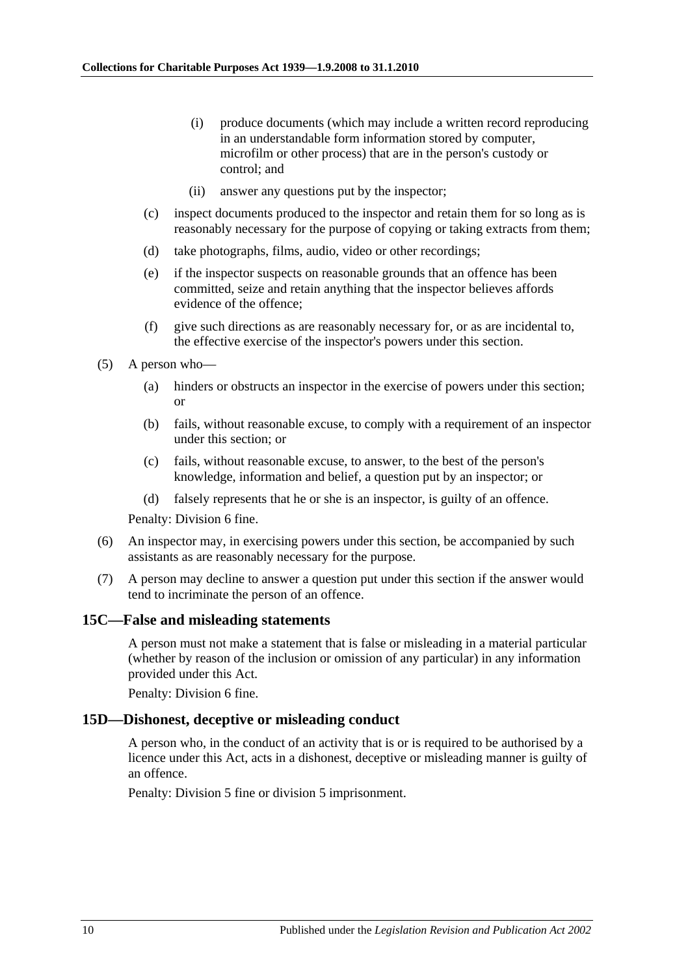- (i) produce documents (which may include a written record reproducing in an understandable form information stored by computer, microfilm or other process) that are in the person's custody or control; and
- (ii) answer any questions put by the inspector;
- (c) inspect documents produced to the inspector and retain them for so long as is reasonably necessary for the purpose of copying or taking extracts from them;
- (d) take photographs, films, audio, video or other recordings;
- (e) if the inspector suspects on reasonable grounds that an offence has been committed, seize and retain anything that the inspector believes affords evidence of the offence;
- (f) give such directions as are reasonably necessary for, or as are incidental to, the effective exercise of the inspector's powers under this section.
- (5) A person who—
	- (a) hinders or obstructs an inspector in the exercise of powers under this section; or
	- (b) fails, without reasonable excuse, to comply with a requirement of an inspector under this section; or
	- (c) fails, without reasonable excuse, to answer, to the best of the person's knowledge, information and belief, a question put by an inspector; or
	- (d) falsely represents that he or she is an inspector, is guilty of an offence.

Penalty: Division 6 fine.

- (6) An inspector may, in exercising powers under this section, be accompanied by such assistants as are reasonably necessary for the purpose.
- (7) A person may decline to answer a question put under this section if the answer would tend to incriminate the person of an offence.

#### <span id="page-9-0"></span>**15C—False and misleading statements**

A person must not make a statement that is false or misleading in a material particular (whether by reason of the inclusion or omission of any particular) in any information provided under this Act.

Penalty: Division 6 fine.

#### <span id="page-9-1"></span>**15D—Dishonest, deceptive or misleading conduct**

A person who, in the conduct of an activity that is or is required to be authorised by a licence under this Act, acts in a dishonest, deceptive or misleading manner is guilty of an offence.

Penalty: Division 5 fine or division 5 imprisonment.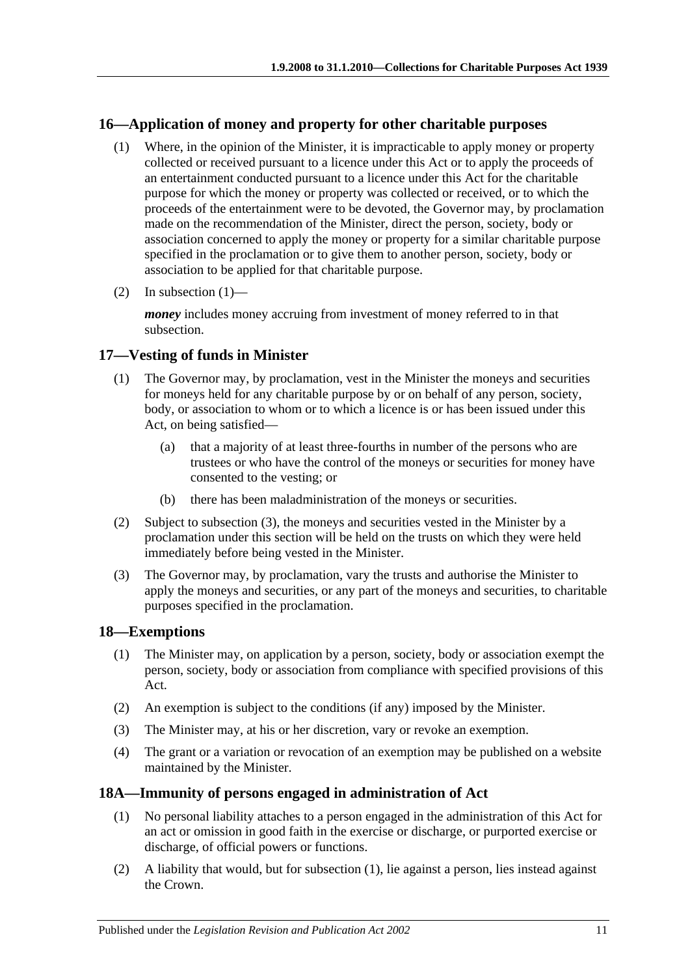### <span id="page-10-4"></span><span id="page-10-0"></span>**16—Application of money and property for other charitable purposes**

- (1) Where, in the opinion of the Minister, it is impracticable to apply money or property collected or received pursuant to a licence under this Act or to apply the proceeds of an entertainment conducted pursuant to a licence under this Act for the charitable purpose for which the money or property was collected or received, or to which the proceeds of the entertainment were to be devoted, the Governor may, by proclamation made on the recommendation of the Minister, direct the person, society, body or association concerned to apply the money or property for a similar charitable purpose specified in the proclamation or to give them to another person, society, body or association to be applied for that charitable purpose.
- (2) In [subsection](#page-10-4)  $(1)$ —

*money* includes money accruing from investment of money referred to in that subsection.

## <span id="page-10-1"></span>**17—Vesting of funds in Minister**

- (1) The Governor may, by proclamation, vest in the Minister the moneys and securities for moneys held for any charitable purpose by or on behalf of any person, society, body, or association to whom or to which a licence is or has been issued under this Act, on being satisfied—
	- (a) that a majority of at least three-fourths in number of the persons who are trustees or who have the control of the moneys or securities for money have consented to the vesting; or
	- (b) there has been maladministration of the moneys or securities.
- (2) Subject to [subsection](#page-10-5) (3), the moneys and securities vested in the Minister by a proclamation under this section will be held on the trusts on which they were held immediately before being vested in the Minister.
- <span id="page-10-5"></span>(3) The Governor may, by proclamation, vary the trusts and authorise the Minister to apply the moneys and securities, or any part of the moneys and securities, to charitable purposes specified in the proclamation.

#### <span id="page-10-2"></span>**18—Exemptions**

- (1) The Minister may, on application by a person, society, body or association exempt the person, society, body or association from compliance with specified provisions of this Act.
- (2) An exemption is subject to the conditions (if any) imposed by the Minister.
- (3) The Minister may, at his or her discretion, vary or revoke an exemption.
- (4) The grant or a variation or revocation of an exemption may be published on a website maintained by the Minister.

#### <span id="page-10-6"></span><span id="page-10-3"></span>**18A—Immunity of persons engaged in administration of Act**

- (1) No personal liability attaches to a person engaged in the administration of this Act for an act or omission in good faith in the exercise or discharge, or purported exercise or discharge, of official powers or functions.
- (2) A liability that would, but for [subsection](#page-10-6) (1), lie against a person, lies instead against the Crown.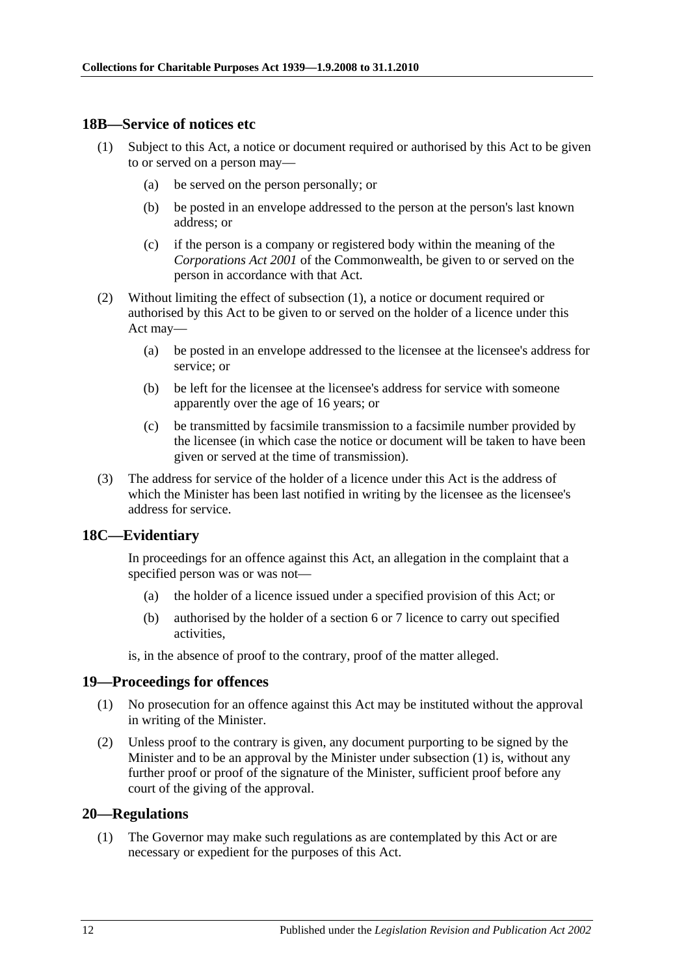#### <span id="page-11-4"></span><span id="page-11-0"></span>**18B—Service of notices etc**

- (1) Subject to this Act, a notice or document required or authorised by this Act to be given to or served on a person may—
	- (a) be served on the person personally; or
	- (b) be posted in an envelope addressed to the person at the person's last known address; or
	- (c) if the person is a company or registered body within the meaning of the *Corporations Act 2001* of the Commonwealth, be given to or served on the person in accordance with that Act.
- (2) Without limiting the effect of [subsection](#page-11-4) (1), a notice or document required or authorised by this Act to be given to or served on the holder of a licence under this Act may—
	- (a) be posted in an envelope addressed to the licensee at the licensee's address for service; or
	- (b) be left for the licensee at the licensee's address for service with someone apparently over the age of 16 years; or
	- (c) be transmitted by facsimile transmission to a facsimile number provided by the licensee (in which case the notice or document will be taken to have been given or served at the time of transmission).
- (3) The address for service of the holder of a licence under this Act is the address of which the Minister has been last notified in writing by the licensee as the licensee's address for service.

#### <span id="page-11-1"></span>**18C—Evidentiary**

In proceedings for an offence against this Act, an allegation in the complaint that a specified person was or was not—

- (a) the holder of a licence issued under a specified provision of this Act; or
- (b) authorised by the holder of a [section](#page-2-0) 6 or [7](#page-4-0) licence to carry out specified activities,

is, in the absence of proof to the contrary, proof of the matter alleged.

#### <span id="page-11-5"></span><span id="page-11-2"></span>**19—Proceedings for offences**

- (1) No prosecution for an offence against this Act may be instituted without the approval in writing of the Minister.
- (2) Unless proof to the contrary is given, any document purporting to be signed by the Minister and to be an approval by the Minister under [subsection](#page-11-5) (1) is, without any further proof or proof of the signature of the Minister, sufficient proof before any court of the giving of the approval.

#### <span id="page-11-6"></span><span id="page-11-3"></span>**20—Regulations**

(1) The Governor may make such regulations as are contemplated by this Act or are necessary or expedient for the purposes of this Act.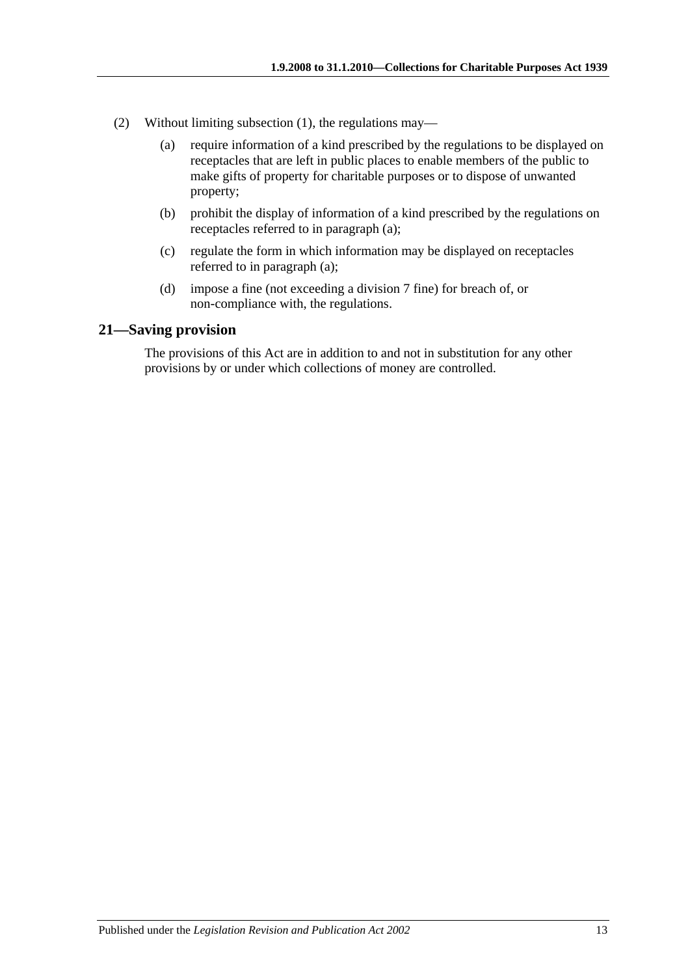- <span id="page-12-1"></span>(2) Without limiting [subsection](#page-11-6) (1), the regulations may—
	- (a) require information of a kind prescribed by the regulations to be displayed on receptacles that are left in public places to enable members of the public to make gifts of property for charitable purposes or to dispose of unwanted property;
	- (b) prohibit the display of information of a kind prescribed by the regulations on receptacles referred to in [paragraph](#page-12-1) (a);
	- (c) regulate the form in which information may be displayed on receptacles referred to in [paragraph](#page-12-1) (a);
	- (d) impose a fine (not exceeding a division 7 fine) for breach of, or non-compliance with, the regulations.

#### <span id="page-12-0"></span>**21—Saving provision**

The provisions of this Act are in addition to and not in substitution for any other provisions by or under which collections of money are controlled.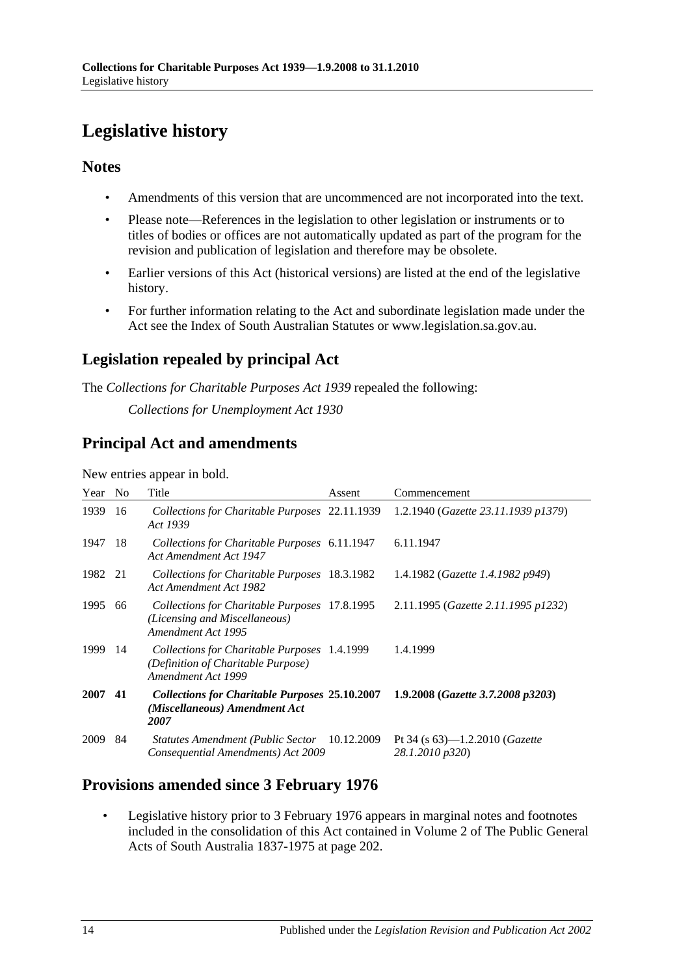# <span id="page-13-0"></span>**Legislative history**

## **Notes**

- Amendments of this version that are uncommenced are not incorporated into the text.
- Please note—References in the legislation to other legislation or instruments or to titles of bodies or offices are not automatically updated as part of the program for the revision and publication of legislation and therefore may be obsolete.
- Earlier versions of this Act (historical versions) are listed at the end of the legislative history.
- For further information relating to the Act and subordinate legislation made under the Act see the Index of South Australian Statutes or www.legislation.sa.gov.au.

# **Legislation repealed by principal Act**

The *Collections for Charitable Purposes Act 1939* repealed the following:

*Collections for Unemployment Act 1930*

# **Principal Act and amendments**

New entries appear in bold.

| Year | N <sub>o</sub> | Title                                                                                                    | Assent | Commencement                                                 |
|------|----------------|----------------------------------------------------------------------------------------------------------|--------|--------------------------------------------------------------|
| 1939 | 16             | Collections for Charitable Purposes 22.11.1939<br>Act 1939                                               |        | 1.2.1940 (Gazette 23.11.1939 p1379)                          |
| 1947 | -18            | Collections for Charitable Purposes 6.11.1947<br>Act Amendment Act 1947                                  |        | 6.11.1947                                                    |
| 1982 | -21            | Collections for Charitable Purposes 18.3.1982<br>Act Amendment Act 1982                                  |        | 1.4.1982 ( <i>Gazette 1.4.1982 p949</i> )                    |
| 1995 | 66             | Collections for Charitable Purposes 17.8.1995<br>(Licensing and Miscellaneous)<br>Amendment Act 1995     |        | 2.11.1995 (Gazette 2.11.1995 p1232)                          |
| 1999 | -14            | Collections for Charitable Purposes 1.4.1999<br>(Definition of Charitable Purpose)<br>Amendment Act 1999 |        | 1.4.1999                                                     |
| 2007 | 41             | <b>Collections for Charitable Purposes 25.10.2007</b><br>(Miscellaneous) Amendment Act<br>2007           |        | 1.9.2008 (Gazette 3.7.2008 p3203)                            |
| 2009 | 84             | Statutes Amendment (Public Sector 10.12.2009<br>Consequential Amendments) Act 2009                       |        | Pt 34 (s $63$ )—1.2.2010 ( <i>Gazette</i><br>28.1.2010 p320) |

# **Provisions amended since 3 February 1976**

• Legislative history prior to 3 February 1976 appears in marginal notes and footnotes included in the consolidation of this Act contained in Volume 2 of The Public General Acts of South Australia 1837-1975 at page 202.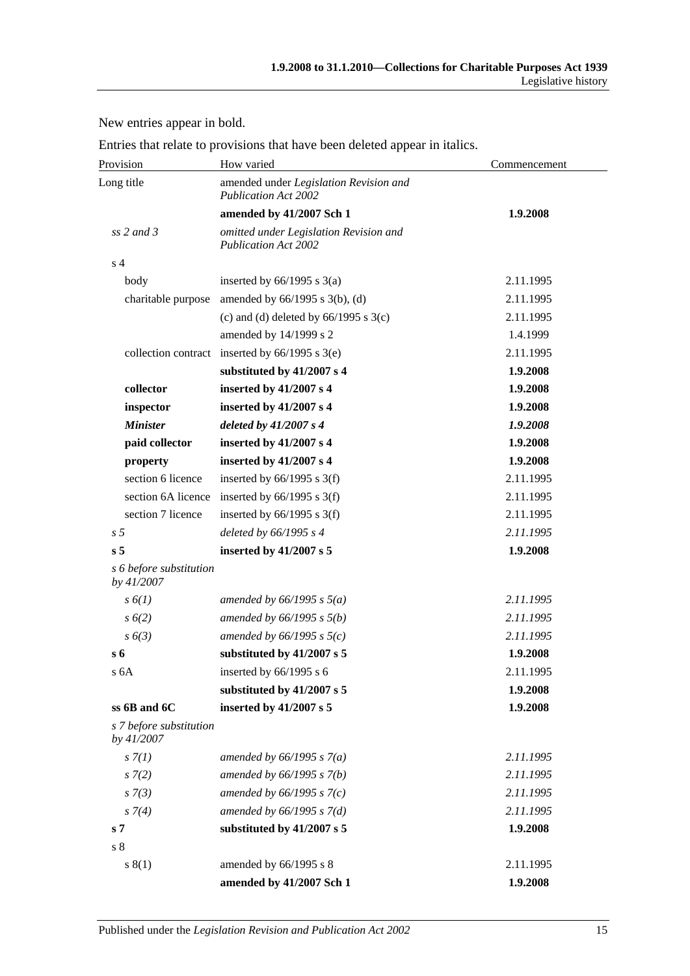New entries appear in bold.

|  |  |  | Entries that relate to provisions that have been deleted appear in italics. |
|--|--|--|-----------------------------------------------------------------------------|
|--|--|--|-----------------------------------------------------------------------------|

| Provision                             | How varied                                                            | Commencement |  |
|---------------------------------------|-----------------------------------------------------------------------|--------------|--|
| Long title                            | amended under Legislation Revision and<br><b>Publication Act 2002</b> |              |  |
|                                       | amended by 41/2007 Sch 1                                              | 1.9.2008     |  |
| ss $2$ and $3$                        | omitted under Legislation Revision and<br><b>Publication Act 2002</b> |              |  |
| s <sub>4</sub>                        |                                                                       |              |  |
| body                                  | inserted by $66/1995$ s $3(a)$                                        | 2.11.1995    |  |
| charitable purpose                    | amended by $66/1995$ s $3(b)$ , (d)                                   | 2.11.1995    |  |
|                                       | (c) and (d) deleted by $66/1995$ s $3(c)$                             | 2.11.1995    |  |
|                                       | amended by 14/1999 s 2                                                | 1.4.1999     |  |
|                                       | collection contract inserted by 66/1995 s 3(e)                        | 2.11.1995    |  |
|                                       | substituted by 41/2007 s 4                                            | 1.9.2008     |  |
| collector                             | inserted by 41/2007 s 4                                               | 1.9.2008     |  |
| inspector                             | inserted by 41/2007 s 4                                               | 1.9.2008     |  |
| <b>Minister</b>                       | deleted by $41/2007 s 4$                                              | 1.9.2008     |  |
| paid collector                        | inserted by 41/2007 s 4                                               | 1.9.2008     |  |
| property                              | inserted by 41/2007 s 4                                               | 1.9.2008     |  |
| section 6 licence                     | inserted by $66/1995$ s 3(f)                                          | 2.11.1995    |  |
| section 6A licence                    | inserted by $66/1995$ s 3(f)                                          | 2.11.1995    |  |
| section 7 licence                     | inserted by $66/1995$ s 3(f)                                          | 2.11.1995    |  |
| s <sub>5</sub>                        | deleted by 66/1995 s 4                                                | 2.11.1995    |  |
| s <sub>5</sub>                        | inserted by 41/2007 s 5                                               | 1.9.2008     |  |
| s 6 before substitution<br>by 41/2007 |                                                                       |              |  |
| $s\delta(1)$                          | amended by $66/1995$ s $5(a)$                                         | 2.11.1995    |  |
| $s\,6(2)$                             | amended by $66/1995 s 5(b)$                                           | 2.11.1995    |  |
| s(6(3)                                | amended by $66/1995$ s $5(c)$                                         | 2.11.1995    |  |
| s 6                                   | substituted by 41/2007 s 5                                            | 1.9.2008     |  |
| s 6A                                  | inserted by $66/1995$ s 6                                             | 2.11.1995    |  |
|                                       | substituted by 41/2007 s 5                                            | 1.9.2008     |  |
| ss 6B and 6C                          | inserted by 41/2007 s 5                                               | 1.9.2008     |  |
| s 7 before substitution<br>by 41/2007 |                                                                       |              |  |
| s(7)                                  | amended by $66/1995 s 7(a)$                                           | 2.11.1995    |  |
| $s \, 7(2)$                           | amended by $66/1995 s 7(b)$                                           | 2.11.1995    |  |
| $s \, 7(3)$                           | amended by $66/1995 s 7(c)$                                           | 2.11.1995    |  |
| $s \, 7(4)$                           | amended by $66/1995 s 7(d)$                                           | 2.11.1995    |  |
| s <sub>7</sub>                        | substituted by 41/2007 s 5                                            | 1.9.2008     |  |
| s <sub>8</sub>                        |                                                                       |              |  |
| s(1)                                  | amended by 66/1995 s 8                                                | 2.11.1995    |  |
|                                       | amended by 41/2007 Sch 1                                              | 1.9.2008     |  |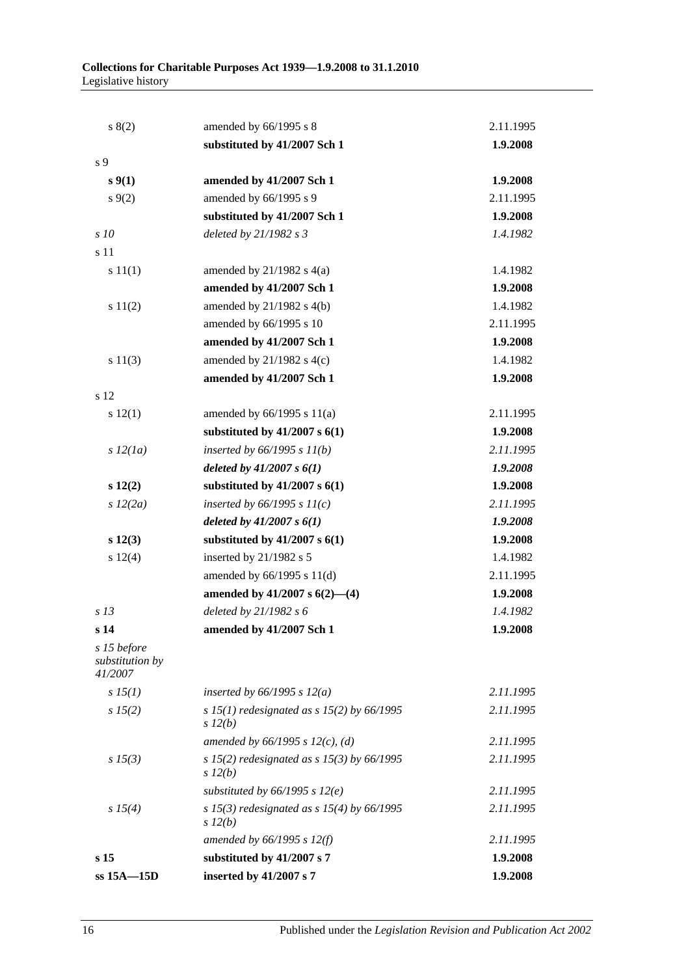| s(2)                                      | amended by 66/1995 s 8                                     | 2.11.1995 |
|-------------------------------------------|------------------------------------------------------------|-----------|
|                                           | substituted by 41/2007 Sch 1                               | 1.9.2008  |
| s 9                                       |                                                            |           |
| s(1)                                      | amended by 41/2007 Sch 1                                   | 1.9.2008  |
| $s \, 9(2)$                               | amended by 66/1995 s 9                                     | 2.11.1995 |
|                                           | substituted by 41/2007 Sch 1                               | 1.9.2008  |
| s10                                       | deleted by 21/1982 s 3                                     | 1.4.1982  |
| s 11                                      |                                                            |           |
| s 11(1)                                   | amended by $21/1982$ s $4(a)$                              | 1.4.1982  |
|                                           | amended by 41/2007 Sch 1                                   | 1.9.2008  |
| s 11(2)                                   | amended by $21/1982$ s $4(b)$                              | 1.4.1982  |
|                                           | amended by 66/1995 s 10                                    | 2.11.1995 |
|                                           | amended by 41/2007 Sch 1                                   | 1.9.2008  |
| s 11(3)                                   | amended by $21/1982$ s $4(c)$                              | 1.4.1982  |
|                                           | amended by 41/2007 Sch 1                                   | 1.9.2008  |
| s 12                                      |                                                            |           |
| s 12(1)                                   | amended by $66/1995$ s $11(a)$                             | 2.11.1995 |
|                                           | substituted by $41/2007$ s $6(1)$                          | 1.9.2008  |
| s 12(1a)                                  | inserted by $66/1995 s 11(b)$                              | 2.11.1995 |
|                                           | deleted by $41/2007 s 6(1)$                                | 1.9.2008  |
| $s\ 12(2)$                                | substituted by $41/2007$ s $6(1)$                          | 1.9.2008  |
| s 12(2a)                                  | inserted by $66/1995 s 11(c)$                              | 2.11.1995 |
|                                           | deleted by $41/2007 s 6(1)$                                | 1.9.2008  |
| $s\ 12(3)$                                | substituted by $41/2007$ s $6(1)$                          | 1.9.2008  |
| s 12(4)                                   | inserted by 21/1982 s 5                                    | 1.4.1982  |
|                                           | amended by $66/1995$ s $11(d)$                             | 2.11.1995 |
|                                           | amended by $41/2007$ s $6(2)$ — $(4)$                      | 1.9.2008  |
| s <sub>13</sub>                           | deleted by 21/1982 s 6                                     | 1.4.1982  |
| s <sub>14</sub>                           | amended by 41/2007 Sch 1                                   | 1.9.2008  |
| s 15 before<br>substitution by<br>41/2007 |                                                            |           |
| $s\,15(1)$                                | inserted by $66/1995$ s $12(a)$                            | 2.11.1995 |
| s 15(2)                                   | s 15(1) redesignated as s 15(2) by $66/1995$<br>$s\,l2(b)$ | 2.11.1995 |
|                                           | amended by $66/1995$ s $12(c)$ , (d)                       | 2.11.1995 |
| $s\,15(3)$                                | s 15(2) redesignated as s 15(3) by $66/1995$<br>$s\,l2(b)$ | 2.11.1995 |
|                                           | substituted by $66/1995$ s $12(e)$                         | 2.11.1995 |
| s 15(4)                                   | s 15(3) redesignated as s 15(4) by $66/1995$<br>$s\,l2(b)$ | 2.11.1995 |
|                                           | amended by $66/1995$ s $12(f)$                             | 2.11.1995 |
| s <sub>15</sub>                           | substituted by 41/2007 s 7                                 | 1.9.2008  |
| $ss$ 15A $-15D$                           | inserted by 41/2007 s 7                                    | 1.9.2008  |